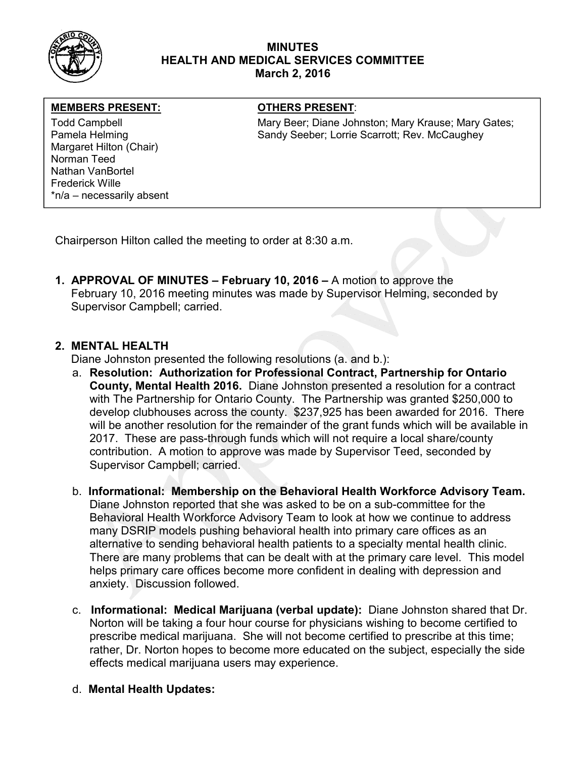

### MINUTES HEALTH AND MEDICAL SERVICES COMMITTEE March 2, 2016

#### MEMBERS PRESENT: **The OTHERS PRESENT:**

Margaret Hilton (Chair) Norman Teed Nathan VanBortel Frederick Wille \*n/a – necessarily absent

Todd Campbell **Mary Beer; Diane Johnston**; Mary Krause; Mary Gates; Mary Gates; Pamela Helming **Sandy Seeber; Lorrie Scarrott**; Rev. McCaughey

Chairperson Hilton called the meeting to order at 8:30 a.m.

1. APPROVAL OF MINUTES – February 10, 2016 – A motion to approve the February 10, 2016 meeting minutes was made by Supervisor Helming, seconded by Supervisor Campbell; carried.

# 2. MENTAL HEALTH

Diane Johnston presented the following resolutions (a. and b.):

- a. Resolution: Authorization for Professional Contract, Partnership for Ontario County, Mental Health 2016. Diane Johnston presented a resolution for a contract with The Partnership for Ontario County. The Partnership was granted \$250,000 to develop clubhouses across the county. \$237,925 has been awarded for 2016. There will be another resolution for the remainder of the grant funds which will be available in 2017. These are pass-through funds which will not require a local share/county contribution. A motion to approve was made by Supervisor Teed, seconded by Supervisor Campbell; carried.
- b. Informational: Membership on the Behavioral Health Workforce Advisory Team. Diane Johnston reported that she was asked to be on a sub-committee for the Behavioral Health Workforce Advisory Team to look at how we continue to address many DSRIP models pushing behavioral health into primary care offices as an alternative to sending behavioral health patients to a specialty mental health clinic. There are many problems that can be dealt with at the primary care level. This model helps primary care offices become more confident in dealing with depression and anxiety. Discussion followed.
- c. Informational: Medical Marijuana (verbal update): Diane Johnston shared that Dr. Norton will be taking a four hour course for physicians wishing to become certified to prescribe medical marijuana. She will not become certified to prescribe at this time; rather, Dr. Norton hopes to become more educated on the subject, especially the side effects medical marijuana users may experience.
- d. Mental Health Updates: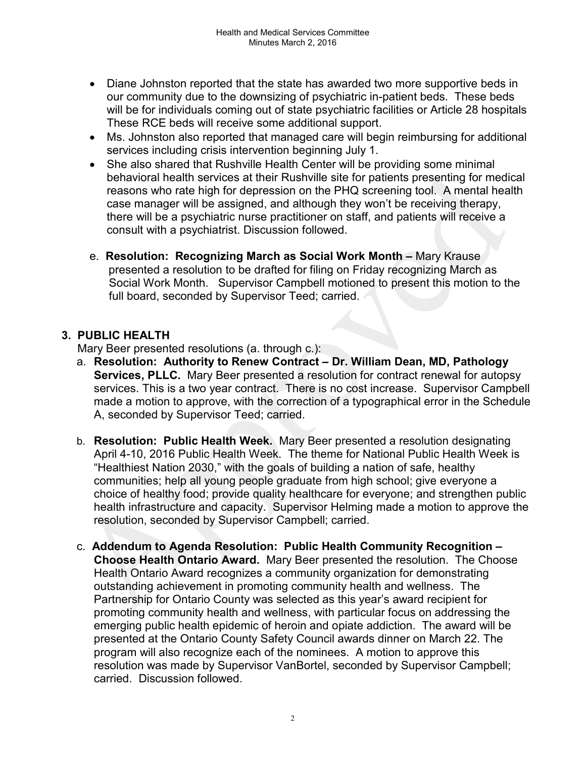- Diane Johnston reported that the state has awarded two more supportive beds in our community due to the downsizing of psychiatric in-patient beds. These beds will be for individuals coming out of state psychiatric facilities or Article 28 hospitals These RCE beds will receive some additional support.
- Ms. Johnston also reported that managed care will begin reimbursing for additional services including crisis intervention beginning July 1.
- She also shared that Rushville Health Center will be providing some minimal behavioral health services at their Rushville site for patients presenting for medical reasons who rate high for depression on the PHQ screening tool. A mental health case manager will be assigned, and although they won't be receiving therapy, there will be a psychiatric nurse practitioner on staff, and patients will receive a consult with a psychiatrist. Discussion followed.
- e. Resolution: Recognizing March as Social Work Month Mary Krause presented a resolution to be drafted for filing on Friday recognizing March as Social Work Month. Supervisor Campbell motioned to present this motion to the full board, seconded by Supervisor Teed; carried.

## 3. PUBLIC HEALTH

Mary Beer presented resolutions (a. through c.):

- a. Resolution: Authority to Renew Contract Dr. William Dean, MD, Pathology Services, PLLC. Mary Beer presented a resolution for contract renewal for autopsy services. This is a two year contract. There is no cost increase. Supervisor Campbell made a motion to approve, with the correction of a typographical error in the Schedule A, seconded by Supervisor Teed; carried.
- b. Resolution: Public Health Week. Mary Beer presented a resolution designating April 4-10, 2016 Public Health Week. The theme for National Public Health Week is "Healthiest Nation 2030," with the goals of building a nation of safe, healthy communities; help all young people graduate from high school; give everyone a choice of healthy food; provide quality healthcare for everyone; and strengthen public health infrastructure and capacity. Supervisor Helming made a motion to approve the resolution, seconded by Supervisor Campbell; carried.
- c. Addendum to Agenda Resolution: Public Health Community Recognition Choose Health Ontario Award. Mary Beer presented the resolution. The Choose Health Ontario Award recognizes a community organization for demonstrating outstanding achievement in promoting community health and wellness. The Partnership for Ontario County was selected as this year's award recipient for promoting community health and wellness, with particular focus on addressing the emerging public health epidemic of heroin and opiate addiction. The award will be presented at the Ontario County Safety Council awards dinner on March 22. The program will also recognize each of the nominees. A motion to approve this resolution was made by Supervisor VanBortel, seconded by Supervisor Campbell; carried. Discussion followed.